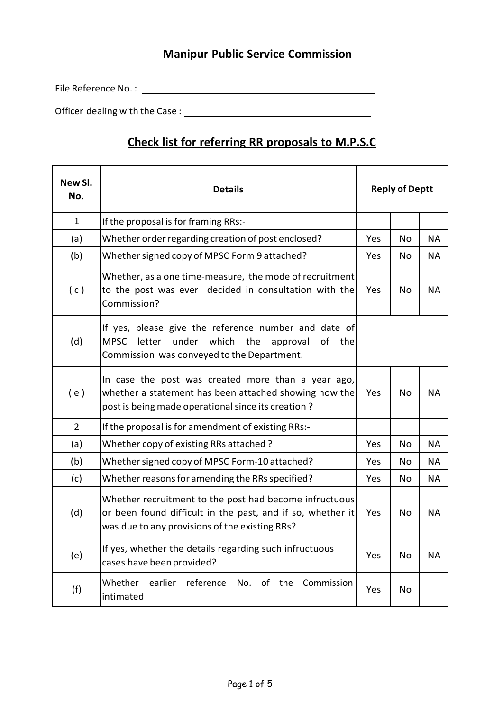## **Manipur Public Service Commission**

File Reference No. :

Officer dealing with the Case :

## **Check list for referring RR proposals to M.P.S.C**

 $\overline{\phantom{0}}$ 

| New SI.<br>No. | <b>Details</b>                                                                                                                                                             | <b>Reply of Deptt</b> |           |           |
|----------------|----------------------------------------------------------------------------------------------------------------------------------------------------------------------------|-----------------------|-----------|-----------|
| $\mathbf{1}$   | If the proposal is for framing RRs:-                                                                                                                                       |                       |           |           |
| (a)            | Whether order regarding creation of post enclosed?                                                                                                                         | Yes                   | <b>No</b> | <b>NA</b> |
| (b)            | Whether signed copy of MPSC Form 9 attached?                                                                                                                               | Yes                   | <b>No</b> | NA.       |
| (c)            | Whether, as a one time-measure, the mode of recruitment<br>to the post was ever decided in consultation with the<br>Commission?                                            | Yes                   | No        | <b>NA</b> |
| (d)            | If yes, please give the reference number and date of<br><b>MPSC</b><br>under<br>which<br>letter<br>the<br>of the<br>approval<br>Commission was conveyed to the Department. |                       |           |           |
| (e)            | In case the post was created more than a year ago,<br>whether a statement has been attached showing how the<br>post is being made operational since its creation?          | Yes                   | No        | <b>NA</b> |
| $\overline{2}$ | If the proposal is for amendment of existing RRs:-                                                                                                                         |                       |           |           |
| (a)            | Whether copy of existing RRs attached?                                                                                                                                     | Yes                   | No        | <b>NA</b> |
| (b)            | Whether signed copy of MPSC Form-10 attached?                                                                                                                              | Yes                   | <b>No</b> | <b>NA</b> |
| (c)            | Whether reasons for amending the RRs specified?                                                                                                                            | Yes                   | <b>No</b> | <b>NA</b> |
| (d)            | Whether recruitment to the post had become infructuous<br>or been found difficult in the past, and if so, whether it<br>was due to any provisions of the existing RRs?     | Yes                   | <b>No</b> | <b>NA</b> |
| (e)            | If yes, whether the details regarding such infructuous<br>cases have been provided?                                                                                        | Yes                   | <b>No</b> | <b>NA</b> |
| (f)            | Whether<br>reference<br>earlier<br>No.<br>of<br>the<br>Commission<br>intimated                                                                                             | Yes                   | No        |           |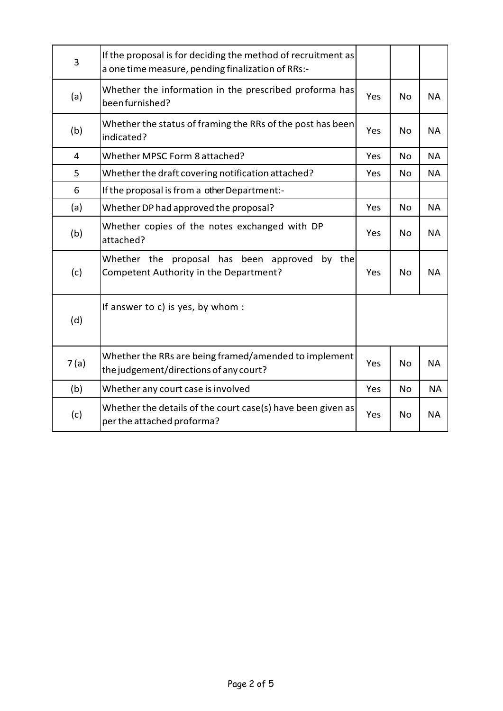| 3    | If the proposal is for deciding the method of recruitment as<br>a one time measure, pending finalization of RRs:- |     |           |           |
|------|-------------------------------------------------------------------------------------------------------------------|-----|-----------|-----------|
| (a)  | Whether the information in the prescribed proforma has<br>been furnished?                                         | Yes | <b>No</b> | <b>NA</b> |
| (b)  | Whether the status of framing the RRs of the post has been<br>indicated?                                          | Yes | No        | <b>NA</b> |
| 4    | Whether MPSC Form 8 attached?                                                                                     | Yes | <b>No</b> | <b>NA</b> |
| 5    | Whether the draft covering notification attached?                                                                 | Yes | <b>No</b> | <b>NA</b> |
| 6    | If the proposal is from a other Department:-                                                                      |     |           |           |
| (a)  | Whether DP had approved the proposal?                                                                             | Yes | <b>No</b> | <b>NA</b> |
| (b)  | Whether copies of the notes exchanged with DP<br>attached?                                                        | Yes | No        | <b>NA</b> |
| (c)  | Whether the proposal has been approved<br>by the<br>Competent Authority in the Department?                        | Yes | <b>No</b> | <b>NA</b> |
| (d)  | If answer to c) is yes, by whom :                                                                                 |     |           |           |
| 7(a) | Whether the RRs are being framed/amended to implement<br>the judgement/directions of any court?                   | Yes | <b>No</b> | <b>NA</b> |
| (b)  | Whether any court case is involved                                                                                | Yes | <b>No</b> | <b>NA</b> |
| (c)  | Whether the details of the court case(s) have been given as<br>per the attached proforma?                         | Yes | <b>No</b> | <b>NA</b> |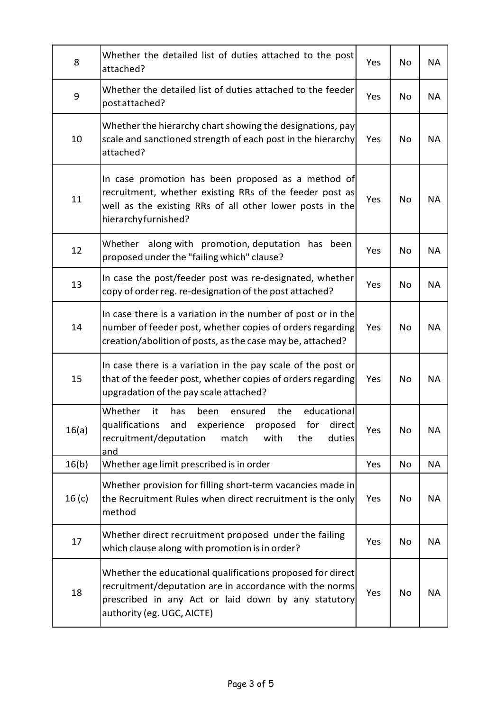| 8                 | Whether the detailed list of duties attached to the post<br>attached?                                                                                                                                      | Yes | No        | <b>NA</b> |
|-------------------|------------------------------------------------------------------------------------------------------------------------------------------------------------------------------------------------------------|-----|-----------|-----------|
| 9                 | Whether the detailed list of duties attached to the feeder<br>post attached?                                                                                                                               | Yes | No        | <b>NA</b> |
| 10                | Whether the hierarchy chart showing the designations, pay<br>scale and sanctioned strength of each post in the hierarchy<br>attached?                                                                      | Yes | No        | <b>NA</b> |
| 11                | In case promotion has been proposed as a method of<br>recruitment, whether existing RRs of the feeder post as<br>well as the existing RRs of all other lower posts in the<br>hierarchyfurnished?           | Yes | No        | <b>NA</b> |
| 12                | along with promotion, deputation has been<br>Whether<br>proposed under the "failing which" clause?                                                                                                         | Yes | No        | <b>NA</b> |
| 13                | In case the post/feeder post was re-designated, whether<br>copy of order reg. re-designation of the post attached?                                                                                         | Yes | No        | <b>NA</b> |
| 14                | In case there is a variation in the number of post or in the<br>number of feeder post, whether copies of orders regarding<br>creation/abolition of posts, as the case may be, attached?                    | Yes | No        | <b>NA</b> |
| 15                | In case there is a variation in the pay scale of the post or<br>that of the feeder post, whether copies of orders regarding<br>upgradation of the pay scale attached?                                      | Yes | No        | <b>NA</b> |
| 16(a)             | it<br>the<br>Whether<br>has<br>been<br>ensured<br>educational<br>qualifications and experience proposed for<br>direct<br>recruitment/deputation<br>match<br>with<br>the<br>duties<br>and                   | Yes | No        | <b>NA</b> |
| 16(b)             | Whether age limit prescribed is in order                                                                                                                                                                   | Yes | <b>No</b> | <b>NA</b> |
| 16 <sub>(c)</sub> | Whether provision for filling short-term vacancies made in<br>the Recruitment Rules when direct recruitment is the only<br>method                                                                          | Yes | No        | <b>NA</b> |
| 17                | Whether direct recruitment proposed under the failing<br>which clause along with promotion is in order?                                                                                                    | Yes | No        | <b>NA</b> |
| 18                | Whether the educational qualifications proposed for direct<br>recruitment/deputation are in accordance with the norms<br>prescribed in any Act or laid down by any statutory<br>authority (eg. UGC, AICTE) | Yes | No        | <b>NA</b> |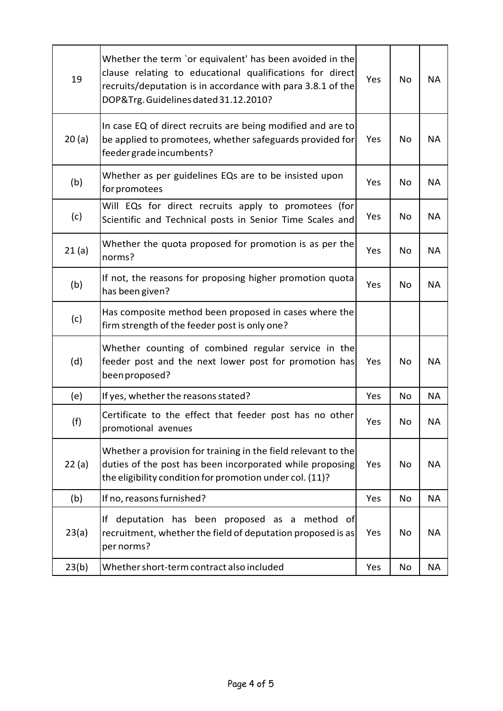| 19    | Whether the term `or equivalent' has been avoided in the<br>clause relating to educational qualifications for direct<br>recruits/deputation is in accordance with para 3.8.1 of the<br>DOP&Trg. Guidelines dated 31.12.2010? | Yes | No | <b>NA</b> |
|-------|------------------------------------------------------------------------------------------------------------------------------------------------------------------------------------------------------------------------------|-----|----|-----------|
| 20(a) | In case EQ of direct recruits are being modified and are to<br>be applied to promotees, whether safeguards provided for<br>feeder grade incumbents?                                                                          | Yes | No | <b>NA</b> |
| (b)   | Whether as per guidelines EQs are to be insisted upon<br>for promotees                                                                                                                                                       | Yes | No | <b>NA</b> |
| (c)   | Will EQs for direct recruits apply to promotees (for<br>Scientific and Technical posts in Senior Time Scales and                                                                                                             | Yes | No | <b>NA</b> |
| 21(a) | Whether the quota proposed for promotion is as per the<br>norms?                                                                                                                                                             | Yes | No | <b>NA</b> |
| (b)   | If not, the reasons for proposing higher promotion quota<br>has been given?                                                                                                                                                  | Yes | No | <b>NA</b> |
| (c)   | Has composite method been proposed in cases where the<br>firm strength of the feeder post is only one?                                                                                                                       |     |    |           |
| (d)   | Whether counting of combined regular service in the<br>feeder post and the next lower post for promotion has<br>been proposed?                                                                                               | Yes | No | <b>NA</b> |
| (e)   | If yes, whether the reasons stated?                                                                                                                                                                                          | Yes | No | <b>NA</b> |
| (f)   | Certificate to the effect that feeder post has no other<br>promotional avenues                                                                                                                                               | Yes | No | <b>NA</b> |
| 22(a) | Whether a provision for training in the field relevant to the<br>duties of the post has been incorporated while proposing<br>the eligibility condition for promotion under col. (11)?                                        | Yes | No | <b>NA</b> |
| (b)   | If no, reasons furnished?                                                                                                                                                                                                    | Yes | No | <b>NA</b> |
| 23(a) | If deputation has been proposed as a<br>method<br>_ofl<br>recruitment, whether the field of deputation proposed is as<br>per norms?                                                                                          | Yes | No | <b>NA</b> |
| 23(b) | Whether short-term contract also included                                                                                                                                                                                    | Yes | No | NA        |